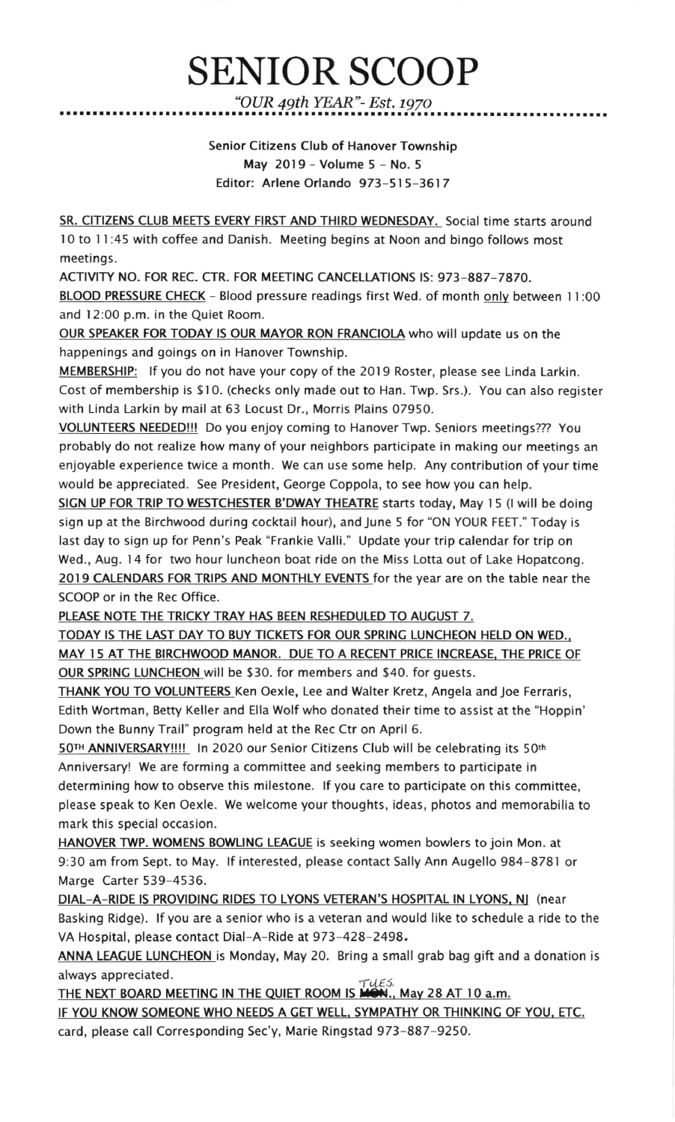## SENIOR SCOOP "OUR 49th YEAR"- Est. 1g7o

Senior Citizens Club of Hanover Township May 2019 - Volume 5 - No. <sup>5</sup> Editor: Arlene Orlando 973-515-3617

SR. CITIZENS CLUB MEETS EVERY FIRST AND THIRD WEDNESDAY. Social time starts around 10 to 11:45 with coffee and Danish. Meeting begins at Noon and bingo follows most meetings.

ACTIVITY NO. FOR REC. CTR. FOR MEETINC CANCELLATIONS lS: 973-887-7870. BLOOD PRESSURE CHECK - Blood pressure readings first Wed. of month onlv between I l:00 and 12:00 p.m. in the Quiet Room.

OUR SPEAKER FOR TODAY lS OUR MAYOR RON FRANCIOLA who will update us on the happenings and goings on in Hanover Township.

MEMBERSHIP: If you do not have your copy of the 2019 Roster, please see Linda Larkin. Cost of membership is \$10. (checks only made out to Han. Twp. Srs.). You can also register with Linda Larkin by mail at 63 Locust Dr., Morris Plains 07950.

VOLUNTEERS NEEDED!!! Do you enjoy coming to Hanover Twp. Seniors meetings??? You probably do not realize how many of your neighbors participate in making our meetings an enjoyable experience twice a month. We can use some help. Any contribution of your time would be appreciated. See President, George Coppola, to see how you can help.

SIGN UP FOR TRIP TO WESTCHESTER B'DWAY THEATRE starts today, May 15 (I will be doing sign up at the Birchwood during cocktail hour), and June 5 for "ON YOUR FEET." Today is last day to sign up for Penn's Peak "Frankie Valli." Update your trip calendar for trip on Wed., Aug. 14 for two hour luncheon boat ride on the Miss Lotta out of Lake Hopatcong. 2019 CALENDARS FOR TRIPS AND MONTHLY EVENTS for the year are on the table near the SCOOP or in the Rec Office.

PLEASE NOTE THE TRICKY TRAY HAS BEEN RESHEDULED TO AUGUST 7.

TODAY IS THE LAST DAY TO BUY TICKETS FOR OUR SPRING LUNCHEON HELD ON WED., MAY I5 AT THE BIRCHWOOD MANOR. DUE TO A RECENT PRICE INCREASE. THE PRICE OF OUR SPRINC LUNCHEON will be \$30. for members and \$40. for guests.

THANK YOU TO VOLUNTEERS Ken Oexle, Lee and Walter Kretz, Angela and Joe Ferraris, Edith Wortman, Betty Keller and Ella Wolf who donated their time to assist at the "Hoppin' Down the Bunny Trail" program held at the Rec Ctr on April 6.

50TH ANNIVERSARY!!!! In 2020 our Senior Citizens Club will be celebrating its 50th Anniversary! We are forming a committee and seeking members to participate in determining how to observe this milestone. lf you care to participate on this committee, please speak to Ken Oexle. We welcome your thoughts, ideas, photos and memorabilia to mark this special occasion.

HANOVER TWP. WOMENS BOWLING LEAGUE is seeking women bowlers to join Mon. at 9:30 am from Sept. to May. lf interested, please contact Sally Ann Augello 984-8781 or Marge Carter 539-4536.

DIAL-A-RIDE IS PROVIDING RIDES TO LYONS VETERAN'S HOSPITAL IN LYONS, NJ (near Basking Ridge). lf you are a senior who is a veteran and would like to schedule a ride to the VA Hospital, please contact Dial-A-Ride at 973-428-2498.

ANNA LEACUE LUNCHEON is Monday, May 20. Bring a small grab bag gift and a donation is always appreciated.  $\tau$ uEs, and  $\tau$ uEs, and  $\tau$ uEs, and  $\tau$ uEs, and  $\tau$ uEs, and  $\tau$ uEs, and  $\tau$ 

THE NEXT BOARD MEETING IN THE QUIET ROOM IS  $\overline{M}$  May 28 AT 10 a.m.

IF YOU KNOW SOMEONE WHO NEEDS A GET WELL, SYMPATHY OR THINKING OF YOU, ETC. card, please call Corresponding Sec'y, Marie Ringstad 973-887-9250.